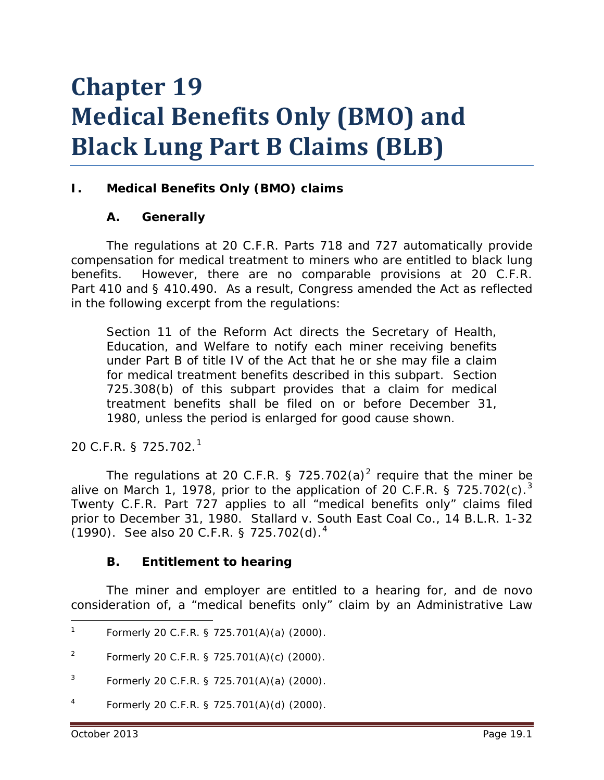# **Chapter 19 Medical Benefits Only (BMO) and Black Lung Part B Claims (BLB)**

# **I. Medical Benefits Only (BMO) claims**

#### **A. Generally**

The regulations at 20 C.F.R. Parts 718 and 727 automatically provide compensation for medical treatment to miners who are entitled to black lung benefits. However, there are no comparable provisions at 20 C.F.R. Part 410 and § 410.490. As a result, Congress amended the Act as reflected in the following excerpt from the regulations:

Section 11 of the Reform Act directs the Secretary of Health, Education, and Welfare to notify each miner receiving benefits under Part B of title IV of the Act that he or she may file a claim for medical treatment benefits described in this subpart. Section 725.308(b) of this subpart provides that a claim for medical treatment benefits shall be filed on or before December 31, 1980, unless the period is enlarged for good cause shown.

20 C.F.R. § 725.702. [1](#page-0-0)

The regulations at [2](#page-0-1)0 C.F.R. § 725.702(a)<sup>2</sup> reguire that the miner be alive on March 1, 1978, prior to the application of 20 C.F.R. § 725.702(c).<sup>[3](#page-0-2)</sup> Twenty C.F.R. Part 727 applies to all "medical benefits only" claims filed prior to December 31, 1980. *Stallard v. South East Coal Co.*, 14 B.L.R. 1-32 (1990). *See also* 20 C.F.R. § 725.702(d). [4](#page-0-3)

#### **B. Entitlement to hearing**

The miner and employer are entitled to a hearing for, and *de novo* consideration of, a "medical benefits only" claim by an Administrative Law

<span id="page-0-3"></span>Formerly 20 C.F.R. § 725.701(A)(d) (2000).

<span id="page-0-0"></span>Formerly 20 C.F.R. § 725.701(A)(a) (2000).  $1$ 

<span id="page-0-1"></span><sup>&</sup>lt;sup>2</sup> Formerly 20 C.F.R. § 725.701(A)(c) (2000).

<span id="page-0-2"></span><sup>&</sup>lt;sup>3</sup> Formerly 20 C.F.R. § 725.701(A)(a) (2000).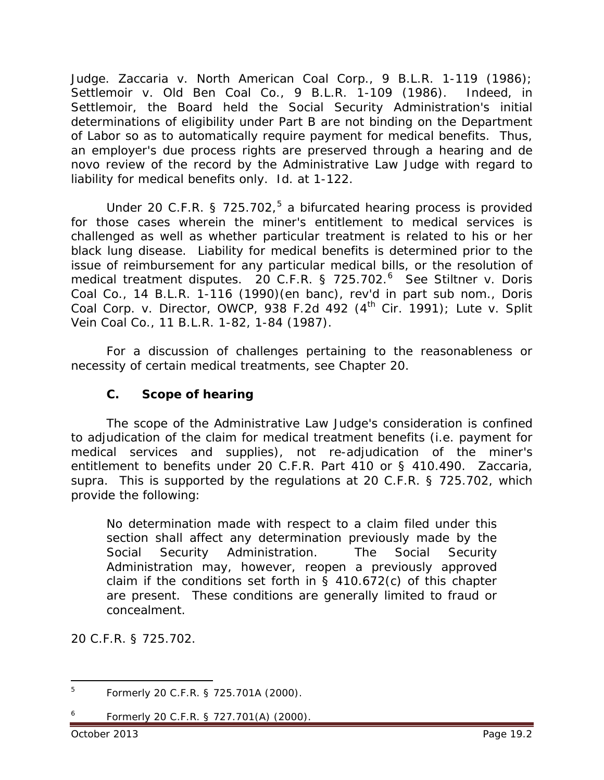Judge. *Zaccaria v. North American Coal Corp.*, 9 B.L.R. 1-119 (1986); *Settlemoir v. Old Ben Coal Co.*, 9 B.L.R. 1-109 (1986). Indeed, in *Settlemoir*, the Board held the Social Security Administration's initial determinations of eligibility under Part B are not binding on the Department of Labor so as to automatically require payment for medical benefits. Thus, an employer's due process rights are preserved through a hearing and *de novo* review of the record by the Administrative Law Judge with regard to liability for medical benefits only. *Id.* at 1-122.

Under 20 C.F.R. § 72[5](#page-1-0).702,<sup>5</sup> a bifurcated hearing process is provided for those cases wherein the miner's entitlement to medical services is challenged as well as whether particular treatment is related to his or her black lung disease. Liability for medical benefits is determined prior to the issue of reimbursement for any particular medical bills, or the resolution of medical treatment disputes. 20 C.F.R. § 725.702. [6](#page-1-1) *See Stiltner v. Doris Coal Co.*, 14 B.L.R. 1-116 (1990)(*en banc*), *rev'd in part sub nom.*, *Doris Coal Corp. v. Director, OWCP*, 938 F.2d 492 (4<sup>th</sup> Cir. 1991); *Lute v. Split Vein Coal Co.*, 11 B.L.R. 1-82, 1-84 (1987).

For a discussion of challenges pertaining to the reasonableness or necessity of certain medical treatments, *see* Chapter 20.

## **C. Scope of hearing**

The scope of the Administrative Law Judge's consideration is confined to adjudication of the claim for medical treatment benefits (*i.e.* payment for medical services and supplies), not re-adjudication of the miner's entitlement to benefits under 20 C.F.R. Part 410 or § 410.490. *Zaccaria*, *supra*. This is supported by the regulations at 20 C.F.R. § 725.702, which provide the following:

No determination made with respect to a claim filed under this section shall affect any determination previously made by the Social Security Administration. The Social Security Administration may, however, reopen a previously approved claim if the conditions set forth in  $\S$  410.672(c) of this chapter are present. These conditions are generally limited to fraud or concealment.

20 C.F.R. § 725.702.

<span id="page-1-1"></span><span id="page-1-0"></span><sup>5</sup> Formerly 20 C.F.R. § 725.701A (2000).  $\overline{5}$ 

<sup>6</sup> Formerly 20 C.F.R. § 727.701(A) (2000).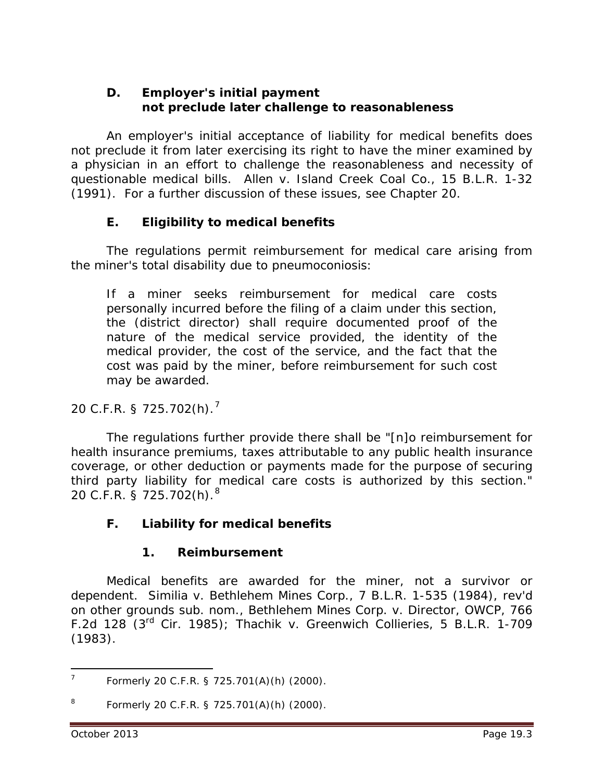#### **D. Employer's initial payment not preclude later challenge to reasonableness**

An employer's initial acceptance of liability for medical benefits does not preclude it from later exercising its right to have the miner examined by a physician in an effort to challenge the reasonableness and necessity of questionable medical bills. *Allen v. Island Creek Coal Co.*, 15 B.L.R. 1-32 (1991). For a further discussion of these issues, *see* Chapter 20.

# **E. Eligibility to medical benefits**

The regulations permit reimbursement for medical care arising from the miner's total disability due to pneumoconiosis:

If a miner seeks reimbursement for medical care costs personally incurred before the filing of a claim under this section, the (district director) shall require documented proof of the nature of the medical service provided, the identity of the medical provider, the cost of the service, and the fact that the cost was paid by the miner, before reimbursement for such cost may be awarded.

20 C.F.R. § 725.702(h). [7](#page-2-0)

The regulations further provide there shall be "[n]o reimbursement for health insurance premiums, taxes attributable to any public health insurance coverage, or other deduction or payments made for the purpose of securing third party liability for medical care costs is authorized by this section." 20 C.F.R. § 725.702(h). [8](#page-2-1)

# **F. Liability for medical benefits**

# **1. Reimbursement**

Medical benefits are awarded for the miner, not a survivor or dependent. *Similia v. Bethlehem Mines Corp.*, 7 B.L.R. 1-535 (1984), *rev'd on other grounds sub. nom., Bethlehem Mines Corp. v. Director, OWCP*, 766 F.2d 128 (3rd Cir. 1985); *Thachik v. Greenwich Collieries*, 5 B.L.R. 1-709 (1983).

<span id="page-2-0"></span><sup>7</sup> Formerly 20 C.F.R. § 725.701(A)(h) (2000).  $\overline{7}$ 

<span id="page-2-1"></span><sup>8</sup> Formerly 20 C.F.R. § 725.701(A)(h) (2000).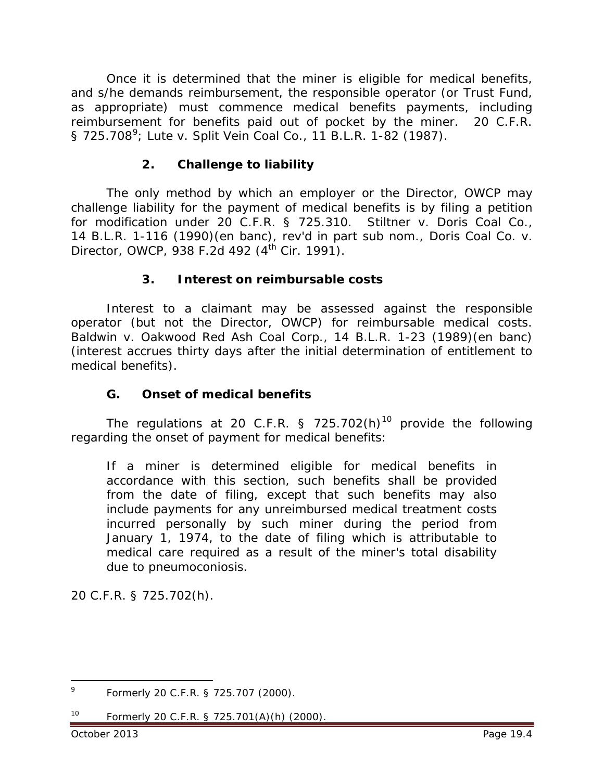Once it is determined that the miner is eligible for medical benefits, and s/he demands reimbursement, the responsible operator (or Trust Fund, as appropriate) must commence medical benefits payments, including reimbursement for benefits paid out of pocket by the miner. 20 C.F.R. § 725.708<sup>[9](#page-3-0)</sup>; Lute v. Split Vein Coal Co., 11 B.L.R. 1-82 (1987).

#### **2. Challenge to liability**

The only method by which an employer or the Director, OWCP may challenge liability for the payment of medical benefits is by filing a petition for modification under 20 C.F.R. § 725.310. *Stiltner v. Doris Coal Co.*, 14 B.L.R. 1-116 (1990)(*en ban*c), *rev'd in part sub nom.*, *Doris Coal Co. v. Director, OWCP*, 938 F.2d 492 (4<sup>th</sup> Cir. 1991).

#### **3. Interest on reimbursable costs**

Interest to a claimant may be assessed against the responsible operator (but not the Director, OWCP) for reimbursable medical costs. *Baldwin v. Oakwood Red Ash Coal Corp.*, 14 B.L.R. 1-23 (1989)(en banc) (interest accrues thirty days after the initial determination of entitlement to medical benefits).

#### **G. Onset of medical benefits**

The regulations at 20 C.F.R. § 725.702(h)<sup>[10](#page-3-1)</sup> provide the following regarding the onset of payment for medical benefits:

If a miner is determined eligible for medical benefits in accordance with this section, such benefits shall be provided from the date of filing, except that such benefits may also include payments for any unreimbursed medical treatment costs incurred personally by such miner during the period from January 1, 1974, to the date of filing which is attributable to medical care required as a result of the miner's total disability due to pneumoconiosis.

20 C.F.R. § 725.702(h).

<span id="page-3-0"></span><sup>9</sup> Formerly 20 C.F.R. § 725.707 (2000). 9

<span id="page-3-1"></span><sup>10</sup> Formerly 20 C.F.R. § 725.701(A)(h) (2000).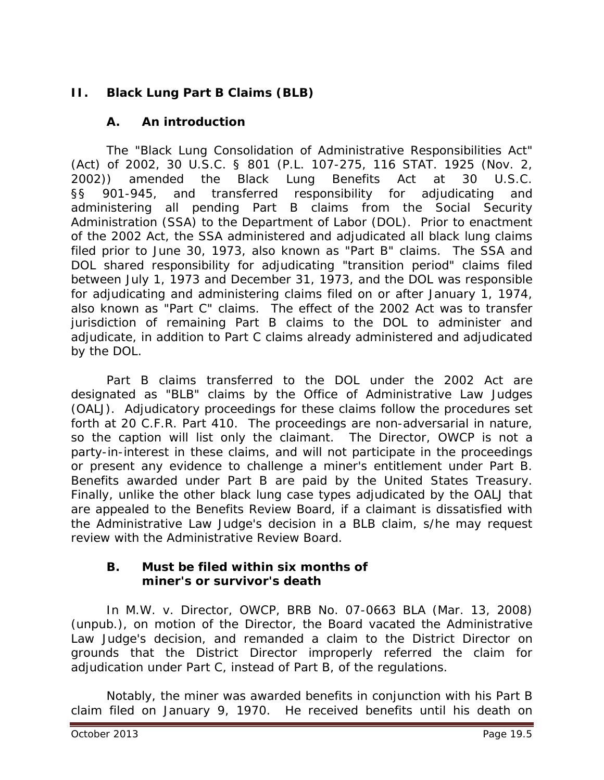# **II. Black Lung Part B Claims (BLB)**

## **A. An introduction**

The "Black Lung Consolidation of Administrative Responsibilities Act" (Act) of 2002, 30 U.S.C. § 801 (P.L. 107-275, 116 STAT. 1925 (Nov. 2, 2002)) amended the Black Lung Benefits Act at 30 U.S.C. §§ 901-945, and transferred responsibility for adjudicating and administering all pending Part B claims from the Social Security Administration (SSA) to the Department of Labor (DOL). Prior to enactment of the 2002 Act, the SSA administered and adjudicated all black lung claims filed prior to June 30, 1973, also known as "Part B" claims. The SSA and DOL shared responsibility for adjudicating "transition period" claims filed between July 1, 1973 and December 31, 1973, and the DOL was responsible for adjudicating and administering claims filed on or after January 1, 1974, also known as "Part C" claims. The effect of the 2002 Act was to transfer jurisdiction of remaining Part B claims to the DOL to administer and adjudicate, in addition to Part C claims already administered and adjudicated by the DOL.

Part B claims transferred to the DOL under the 2002 Act are designated as "BLB" claims by the Office of Administrative Law Judges (OALJ). Adjudicatory proceedings for these claims follow the procedures set forth at 20 C.F.R. Part 410. The proceedings are non-adversarial in nature, so the caption will list only the claimant. The Director, OWCP is not a party-in-interest in these claims, and will not participate in the proceedings or present any evidence to challenge a miner's entitlement under Part B. Benefits awarded under Part B are paid by the United States Treasury. Finally, unlike the other black lung case types adjudicated by the OALJ that are appealed to the Benefits Review Board, if a claimant is dissatisfied with the Administrative Law Judge's decision in a BLB claim, s/he may request review with the Administrative Review Board.

#### **B. Must be filed within six months of miner's or survivor's death**

In *M.W. v. Director, OWCP*, BRB No. 07-0663 BLA (Mar. 13, 2008) (unpub.), on motion of the Director, the Board vacated the Administrative Law Judge's decision, and remanded a claim to the District Director on grounds that the District Director improperly referred the claim for adjudication under Part C, instead of Part B, of the regulations.

Notably, the miner was awarded benefits in conjunction with his Part B claim filed on January 9, 1970. He received benefits until his death on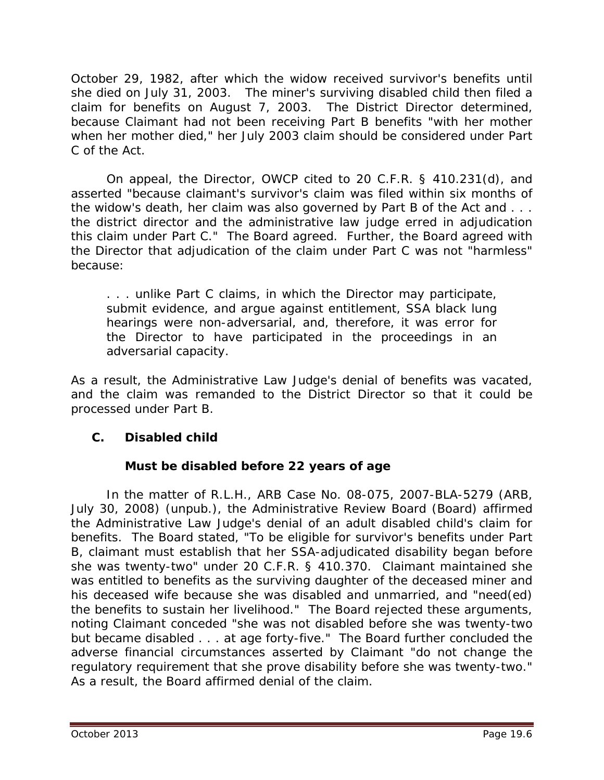October 29, 1982, after which the widow received survivor's benefits until she died on July 31, 2003. The miner's surviving disabled child then filed a claim for benefits on August 7, 2003. The District Director determined, because Claimant had not been receiving Part B benefits "with her mother when her mother died," her July 2003 claim should be considered under Part C of the Act.

On appeal, the Director, OWCP cited to 20 C.F.R. § 410.231(d), and asserted "because claimant's survivor's claim was filed within six months of the widow's death, her claim was also governed by Part B of the Act and . . . the district director and the administrative law judge erred in adjudication this claim under Part C." The Board agreed. Further, the Board agreed with the Director that adjudication of the claim under Part C was not "harmless" because:

. . . unlike Part C claims, in which the Director may participate, submit evidence, and argue against entitlement, SSA black lung hearings were non-adversarial, and, therefore, it was error for the Director to have participated in the proceedings in an adversarial capacity.

As a result, the Administrative Law Judge's denial of benefits was vacated, and the claim was remanded to the District Director so that it could be processed under Part B.

# **C. Disabled child**

# **Must be disabled before 22 years of age**

 In the matter of *R.L.H.*, ARB Case No. 08-075, 2007-BLA-5279 (ARB, July 30, 2008) (unpub.), the Administrative Review Board (Board) affirmed the Administrative Law Judge's denial of an adult disabled child's claim for benefits. The Board stated, "To be eligible for survivor's benefits under Part B, claimant must establish that her SSA-adjudicated disability began before she was twenty-two" under 20 C.F.R. § 410.370. Claimant maintained she was entitled to benefits as the surviving daughter of the deceased miner and his deceased wife because she was disabled and unmarried, and "need(ed) the benefits to sustain her livelihood." The Board rejected these arguments, noting Claimant conceded "she was not disabled before she was twenty-two but became disabled . . . at age forty-five." The Board further concluded the adverse financial circumstances asserted by Claimant "do not change the regulatory requirement that she prove disability before she was twenty-two." As a result, the Board affirmed denial of the claim.